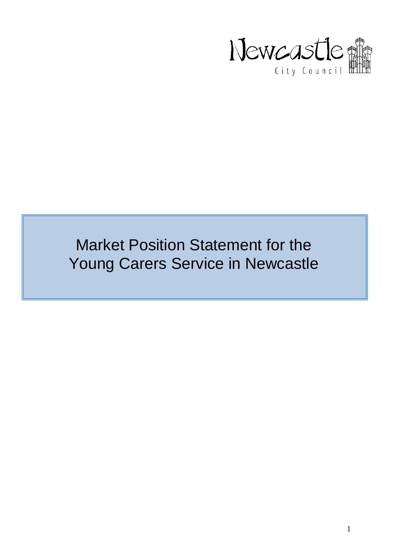

# Market Position Statement for the Young Carers Service in Newcastle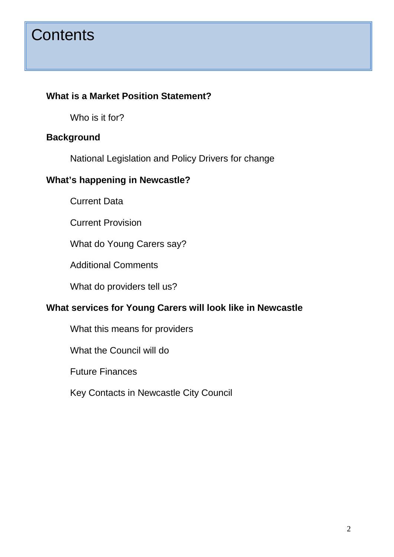# **Contents**

#### **What is a Market Position Statement?**

Who is it for?

#### **Background**

National Legislation and Policy Drivers for change

#### **What's happening in Newcastle?**

Current Data

Current Provision

What do Young Carers say?

Additional Comments

What do providers tell us?

#### **What services for Young Carers will look like in Newcastle**

What this means for providers

What the Council will do

Future Finances

Key Contacts in Newcastle City Council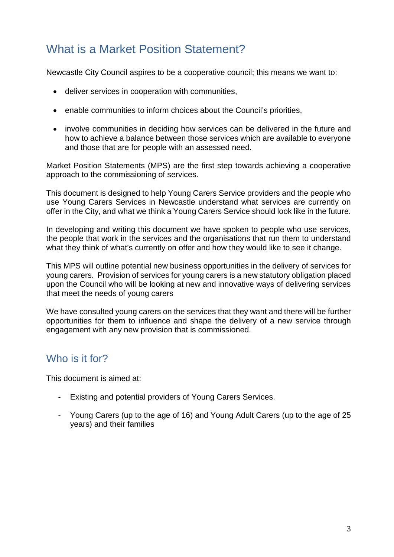## What is a Market Position Statement?

Newcastle City Council aspires to be a cooperative council; this means we want to:

- deliver services in cooperation with communities,
- enable communities to inform choices about the Council's priorities,
- involve communities in deciding how services can be delivered in the future and how to achieve a balance between those services which are available to everyone and those that are for people with an assessed need.

Market Position Statements (MPS) are the first step towards achieving a cooperative approach to the commissioning of services.

This document is designed to help Young Carers Service providers and the people who use Young Carers Services in Newcastle understand what services are currently on offer in the City, and what we think a Young Carers Service should look like in the future.

In developing and writing this document we have spoken to people who use services, the people that work in the services and the organisations that run them to understand what they think of what's currently on offer and how they would like to see it change.

This MPS will outline potential new business opportunities in the delivery of services for young carers. Provision of services for young carers is a new statutory obligation placed upon the Council who will be looking at new and innovative ways of delivering services that meet the needs of young carers

We have consulted young carers on the services that they want and there will be further opportunities for them to influence and shape the delivery of a new service through engagement with any new provision that is commissioned.

#### Who is it for?

This document is aimed at:

- Existing and potential providers of Young Carers Services.
- Young Carers (up to the age of 16) and Young Adult Carers (up to the age of 25 years) and their families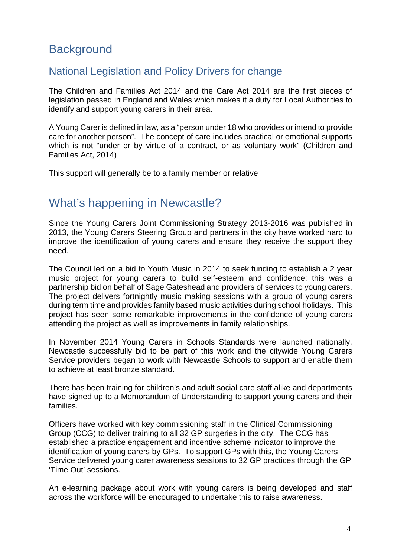## **Background**

#### National Legislation and Policy Drivers for change

The Children and Families Act 2014 and the Care Act 2014 are the first pieces of legislation passed in England and Wales which makes it a duty for Local Authorities to identify and support young carers in their area.

A Young Carer is defined in law, as a "person under 18 who provides or intend to provide care for another person". The concept of care includes practical or emotional supports which is not "under or by virtue of a contract, or as voluntary work" (Children and Families Act, 2014)

This support will generally be to a family member or relative

## What's happening in Newcastle?

Since the Young Carers Joint Commissioning Strategy 2013-2016 was published in 2013, the Young Carers Steering Group and partners in the city have worked hard to improve the identification of young carers and ensure they receive the support they need.

The Council led on a bid to Youth Music in 2014 to seek funding to establish a 2 year music project for young carers to build self-esteem and confidence; this was a partnership bid on behalf of Sage Gateshead and providers of services to young carers. The project delivers fortnightly music making sessions with a group of young carers during term time and provides family based music activities during school holidays. This project has seen some remarkable improvements in the confidence of young carers attending the project as well as improvements in family relationships.

In November 2014 Young Carers in Schools Standards were launched nationally. Newcastle successfully bid to be part of this work and the citywide Young Carers Service providers began to work with Newcastle Schools to support and enable them to achieve at least bronze standard.

There has been training for children's and adult social care staff alike and departments have signed up to a Memorandum of Understanding to support young carers and their families.

Officers have worked with key commissioning staff in the Clinical Commissioning Group (CCG) to deliver training to all 32 GP surgeries in the city. The CCG has established a practice engagement and incentive scheme indicator to improve the identification of young carers by GPs. To support GPs with this, the Young Carers Service delivered young carer awareness sessions to 32 GP practices through the GP 'Time Out' sessions.

An e-learning package about work with young carers is being developed and staff across the workforce will be encouraged to undertake this to raise awareness.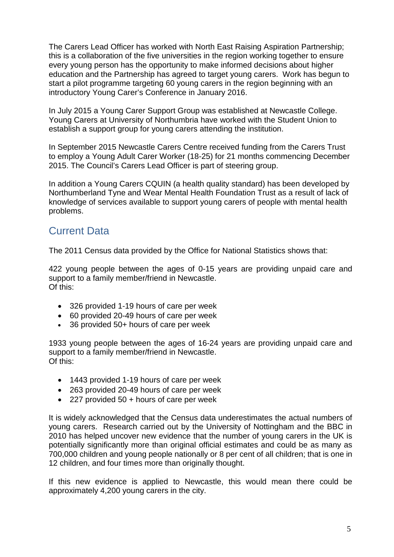The Carers Lead Officer has worked with North East Raising Aspiration Partnership; this is a collaboration of the five universities in the region working together to ensure every young person has the opportunity to make informed decisions about higher education and the Partnership has agreed to target young carers. Work has begun to start a pilot programme targeting 60 young carers in the region beginning with an introductory Young Carer's Conference in January 2016.

In July 2015 a Young Carer Support Group was established at Newcastle College. Young Carers at University of Northumbria have worked with the Student Union to establish a support group for young carers attending the institution.

In September 2015 Newcastle Carers Centre received funding from the Carers Trust to employ a Young Adult Carer Worker (18-25) for 21 months commencing December 2015. The Council's Carers Lead Officer is part of steering group.

In addition a Young Carers CQUIN (a health quality standard) has been developed by Northumberland Tyne and Wear Mental Health Foundation Trust as a result of lack of knowledge of services available to support young carers of people with mental health problems.

### Current Data

The 2011 Census data provided by the Office for National Statistics shows that:

422 young people between the ages of 0-15 years are providing unpaid care and support to a family member/friend in Newcastle. Of this:

- 326 provided 1-19 hours of care per week
- 60 provided 20-49 hours of care per week
- 36 provided 50+ hours of care per week

1933 young people between the ages of 16-24 years are providing unpaid care and support to a family member/friend in Newcastle. Of this:

- 1443 provided 1-19 hours of care per week
- 263 provided 20-49 hours of care per week
- 227 provided 50 + hours of care per week

It is widely acknowledged that the Census data underestimates the actual numbers of young carers. Research carried out by the University of Nottingham and the BBC in 2010 has helped uncover new evidence that the number of young carers in the UK is potentially significantly more than original official estimates and could be as many as 700,000 children and young people nationally or 8 per cent of all children; that is one in 12 children, and four times more than originally thought.

If this new evidence is applied to Newcastle, this would mean there could be approximately 4,200 young carers in the city.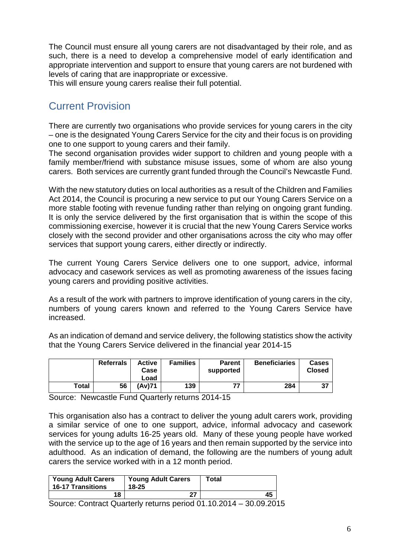The Council must ensure all young carers are not disadvantaged by their role, and as such, there is a need to develop a comprehensive model of early identification and appropriate intervention and support to ensure that young carers are not burdened with levels of caring that are inappropriate or excessive.

This will ensure young carers realise their full potential.

#### Current Provision

There are currently two organisations who provide services for young carers in the city – one is the designated Young Carers Service for the city and their focus is on providing one to one support to young carers and their family.

The second organisation provides wider support to children and young people with a family member/friend with substance misuse issues, some of whom are also young carers. Both services are currently grant funded through the Council's Newcastle Fund.

With the new statutory duties on local authorities as a result of the Children and Families Act 2014, the Council is procuring a new service to put our Young Carers Service on a more stable footing with revenue funding rather than relying on ongoing grant funding. It is only the service delivered by the first organisation that is within the scope of this commissioning exercise, however it is crucial that the new Young Carers Service works closely with the second provider and other organisations across the city who may offer services that support young carers, either directly or indirectly.

The current Young Carers Service delivers one to one support, advice, informal advocacy and casework services as well as promoting awareness of the issues facing young carers and providing positive activities.

As a result of the work with partners to improve identification of young carers in the city, numbers of young carers known and referred to the Young Carers Service have increased.

As an indication of demand and service delivery, the following statistics show the activity that the Young Carers Service delivered in the financial year 2014-15

|       | <b>Referrals</b> | Active<br>Case<br>Load | <b>Families</b> | <b>Parent</b><br>supported | <b>Beneficiaries</b> | <b>Cases</b><br><b>Closed</b> |
|-------|------------------|------------------------|-----------------|----------------------------|----------------------|-------------------------------|
| Total | 56               | 'Av)71                 | 139             | 77                         | 284                  | 37                            |

Source: Newcastle Fund Quarterly returns 2014-15

This organisation also has a contract to deliver the young adult carers work, providing a similar service of one to one support, advice, informal advocacy and casework services for young adults 16-25 years old. Many of these young people have worked with the service up to the age of 16 years and then remain supported by the service into adulthood. As an indication of demand, the following are the numbers of young adult carers the service worked with in a 12 month period.

| <b>Young Adult Carers</b><br><b>16-17 Transitions</b> | <b>Young Adult Carers</b><br>18-25 | Total |
|-------------------------------------------------------|------------------------------------|-------|
| 18                                                    | ົ                                  | 45    |

Source: Contract Quarterly returns period 01.10.2014 – 30.09.2015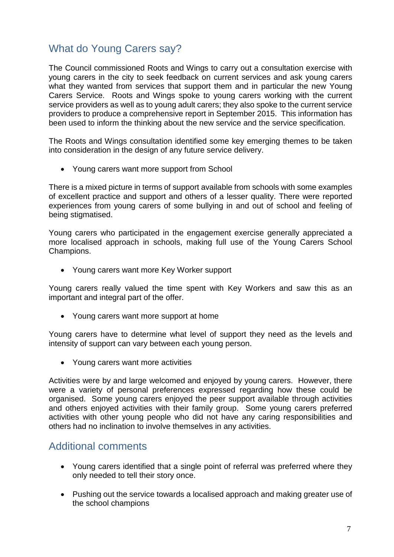## What do Young Carers say?

The Council commissioned Roots and Wings to carry out a consultation exercise with young carers in the city to seek feedback on current services and ask young carers what they wanted from services that support them and in particular the new Young Carers Service. Roots and Wings spoke to young carers working with the current service providers as well as to young adult carers; they also spoke to the current service providers to produce a comprehensive report in September 2015. This information has been used to inform the thinking about the new service and the service specification.

The Roots and Wings consultation identified some key emerging themes to be taken into consideration in the design of any future service delivery.

• Young carers want more support from School

There is a mixed picture in terms of support available from schools with some examples of excellent practice and support and others of a lesser quality. There were reported experiences from young carers of some bullying in and out of school and feeling of being stigmatised.

Young carers who participated in the engagement exercise generally appreciated a more localised approach in schools, making full use of the Young Carers School Champions.

• Young carers want more Key Worker support

Young carers really valued the time spent with Key Workers and saw this as an important and integral part of the offer.

• Young carers want more support at home

Young carers have to determine what level of support they need as the levels and intensity of support can vary between each young person.

• Young carers want more activities

Activities were by and large welcomed and enjoyed by young carers. However, there were a variety of personal preferences expressed regarding how these could be organised. Some young carers enjoyed the peer support available through activities and others enjoyed activities with their family group. Some young carers preferred activities with other young people who did not have any caring responsibilities and others had no inclination to involve themselves in any activities.

#### Additional comments

- Young carers identified that a single point of referral was preferred where they only needed to tell their story once.
- Pushing out the service towards a localised approach and making greater use of the school champions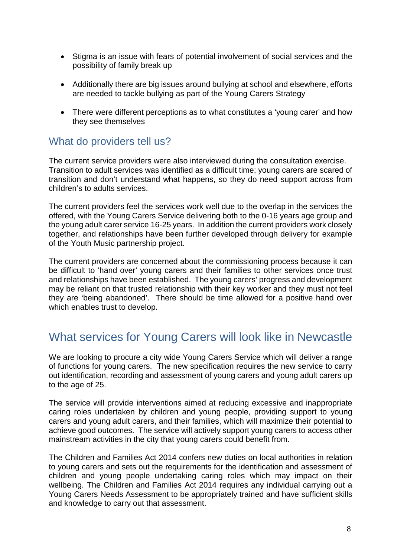- Stigma is an issue with fears of potential involvement of social services and the possibility of family break up
- Additionally there are big issues around bullying at school and elsewhere, efforts are needed to tackle bullying as part of the Young Carers Strategy
- There were different perceptions as to what constitutes a 'young carer' and how they see themselves

#### What do providers tell us?

The current service providers were also interviewed during the consultation exercise. Transition to adult services was identified as a difficult time; young carers are scared of transition and don't understand what happens, so they do need support across from children's to adults services.

The current providers feel the services work well due to the overlap in the services the offered, with the Young Carers Service delivering both to the 0-16 years age group and the young adult carer service 16-25 years. In addition the current providers work closely together, and relationships have been further developed through delivery for example of the Youth Music partnership project.

The current providers are concerned about the commissioning process because it can be difficult to 'hand over' young carers and their families to other services once trust and relationships have been established. The young carers' progress and development may be reliant on that trusted relationship with their key worker and they must not feel they are 'being abandoned'. There should be time allowed for a positive hand over which enables trust to develop.

## What services for Young Carers will look like in Newcastle

We are looking to procure a city wide Young Carers Service which will deliver a range of functions for young carers. The new specification requires the new service to carry out identification, recording and assessment of young carers and young adult carers up to the age of 25.

The service will provide interventions aimed at reducing excessive and inappropriate caring roles undertaken by children and young people, providing support to young carers and young adult carers, and their families, which will maximize their potential to achieve good outcomes. The service will actively support young carers to access other mainstream activities in the city that young carers could benefit from.

The Children and Families Act 2014 confers new duties on local authorities in relation to young carers and sets out the requirements for the identification and assessment of children and young people undertaking caring roles which may impact on their wellbeing. The Children and Families Act 2014 requires any individual carrying out a Young Carers Needs Assessment to be appropriately trained and have sufficient skills and knowledge to carry out that assessment.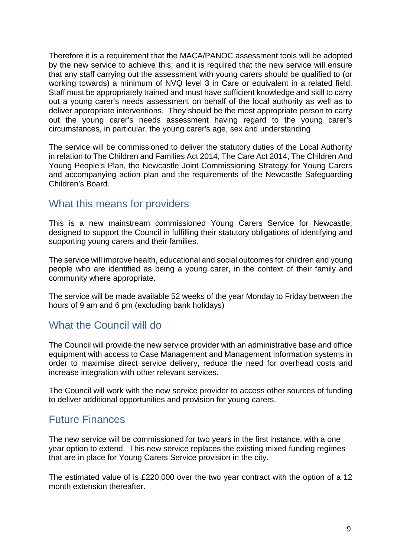Therefore it is a requirement that the MACA/PANOC assessment tools will be adopted by the new service to achieve this; and it is required that the new service will ensure that any staff carrying out the assessment with young carers should be qualified to (or working towards) a minimum of NVQ level 3 in Care or equivalent in a related field. Staff must be appropriately trained and must have sufficient knowledge and skill to carry out a young carer's needs assessment on behalf of the local authority as well as to deliver appropriate interventions. They should be the most appropriate person to carry out the young carer's needs assessment having regard to the young carer's circumstances, in particular, the young carer's age, sex and understanding

The service will be commissioned to deliver the statutory duties of the Local Authority in relation to The Children and Families Act 2014, The Care Act 2014, The Children And Young People's Plan, the Newcastle Joint Commissioning Strategy for Young Carers and accompanying action plan and the requirements of the Newcastle Safeguarding Children's Board.

#### What this means for providers

This is a new mainstream commissioned Young Carers Service for Newcastle, designed to support the Council in fulfilling their statutory obligations of identifying and supporting young carers and their families.

The service will improve health, educational and social outcomes for children and young people who are identified as being a young carer, in the context of their family and community where appropriate.

The service will be made available 52 weeks of the year Monday to Friday between the hours of 9 am and 6 pm (excluding bank holidays)

#### What the Council will do

The Council will provide the new service provider with an administrative base and office equipment with access to Case Management and Management Information systems in order to maximise direct service delivery, reduce the need for overhead costs and increase integration with other relevant services.

The Council will work with the new service provider to access other sources of funding to deliver additional opportunities and provision for young carers.

#### Future Finances

The new service will be commissioned for two years in the first instance, with a one year option to extend. This new service replaces the existing mixed funding regimes that are in place for Young Carers Service provision in the city.

The estimated value of is £220,000 over the two year contract with the option of a 12 month extension thereafter